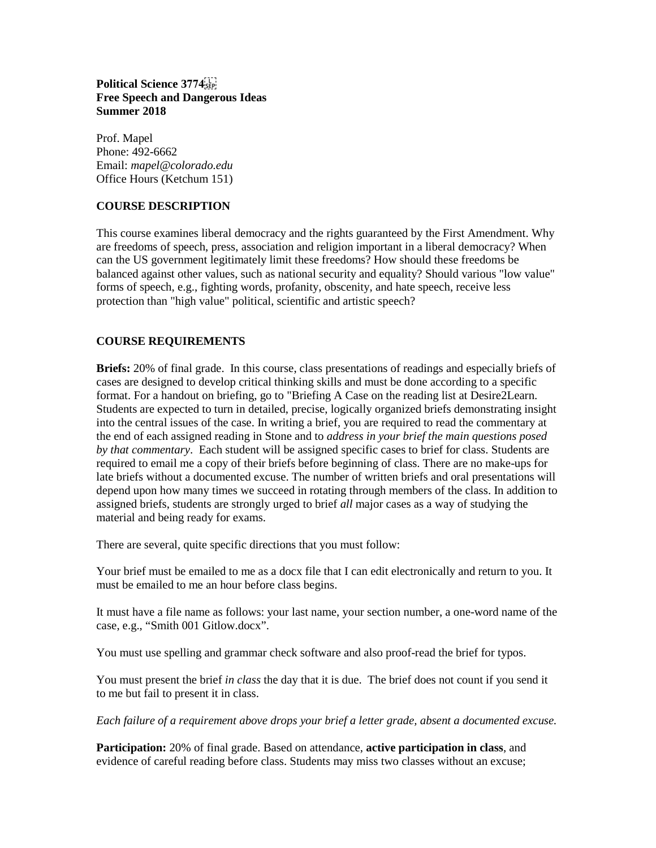**Political Science 3774 Free Speech and Dangerous Ideas Summer 2018**

Prof. Mapel Phone: 492-6662 Email: *mapel@colorado.edu* Office Hours (Ketchum 151)

# **COURSE DESCRIPTION**

This course examines liberal democracy and the rights guaranteed by the First Amendment. Why are freedoms of speech, press, association and religion important in a liberal democracy? When can the US government legitimately limit these freedoms? How should these freedoms be balanced against other values, such as national security and equality? Should various "low value" forms of speech, e.g., fighting words, profanity, obscenity, and hate speech, receive less protection than "high value" political, scientific and artistic speech?

# **COURSE REQUIREMENTS**

**Briefs:** 20% of final grade. In this course, class presentations of readings and especially briefs of cases are designed to develop critical thinking skills and must be done according to a specific format. For a handout on briefing, go to "Briefing A Case on the reading list at Desire2Learn. Students are expected to turn in detailed, precise, logically organized briefs demonstrating insight into the central issues of the case. In writing a brief, you are required to read the commentary at the end of each assigned reading in Stone and to *address in your brief the main questions posed by that commentary*. Each student will be assigned specific cases to brief for class. Students are required to email me a copy of their briefs before beginning of class. There are no make-ups for late briefs without a documented excuse. The number of written briefs and oral presentations will depend upon how many times we succeed in rotating through members of the class. In addition to assigned briefs, students are strongly urged to brief *all* major cases as a way of studying the material and being ready for exams.

There are several, quite specific directions that you must follow:

Your brief must be emailed to me as a docx file that I can edit electronically and return to you. It must be emailed to me an hour before class begins.

It must have a file name as follows: your last name, your section number, a one-word name of the case, e.g., "Smith 001 Gitlow.docx".

You must use spelling and grammar check software and also proof-read the brief for typos.

You must present the brief *in class* the day that it is due. The brief does not count if you send it to me but fail to present it in class.

*Each failure of a requirement above drops your brief a letter grade, absent a documented excuse.*

**Participation:** 20% of final grade. Based on attendance, **active participation in class**, and evidence of careful reading before class. Students may miss two classes without an excuse;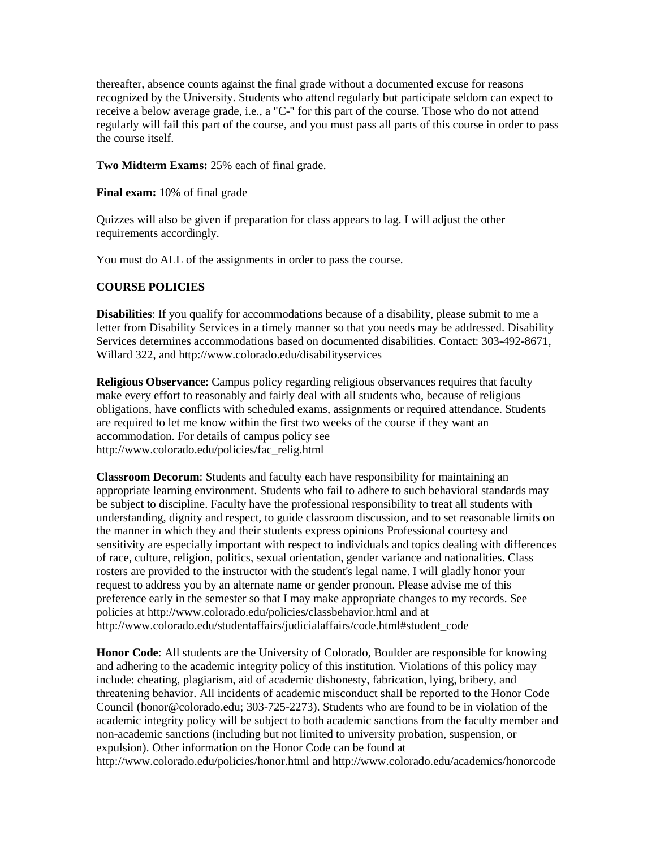thereafter, absence counts against the final grade without a documented excuse for reasons recognized by the University. Students who attend regularly but participate seldom can expect to receive a below average grade, i.e., a "C-" for this part of the course. Those who do not attend regularly will fail this part of the course, and you must pass all parts of this course in order to pass the course itself.

**Two Midterm Exams:** 25% each of final grade.

**Final exam:** 10% of final grade

Quizzes will also be given if preparation for class appears to lag. I will adjust the other requirements accordingly.

You must do ALL of the assignments in order to pass the course.

## **COURSE POLICIES**

**Disabilities**: If you qualify for accommodations because of a disability, please submit to me a letter from Disability Services in a timely manner so that you needs may be addressed. Disability Services determines accommodations based on documented disabilities. Contact: 303-492-8671, Willard 322, and<http://www.colorado.edu/disabilityservices>

**Religious Observance**: Campus policy regarding religious observances requires that faculty make every effort to reasonably and fairly deal with all students who, because of religious obligations, have conflicts with scheduled exams, assignments or required attendance. Students are required to let me know within the first two weeks of the course if they want an accommodation. For details of campus policy see [http://www.colorado.edu/policies/fac\\_relig.html](http://www.colorado.edu/policies/fac_relig.html)

**Classroom Decorum**: Students and faculty each have responsibility for maintaining an appropriate learning environment. Students who fail to adhere to such behavioral standards may be subject to discipline. Faculty have the professional responsibility to treat all students with understanding, dignity and respect, to guide classroom discussion, and to set reasonable limits on the manner in which they and their students express opinions Professional courtesy and sensitivity are especially important with respect to individuals and topics dealing with differences of race, culture, religion, politics, sexual orientation, gender variance and nationalities. Class rosters are provided to the instructor with the student's legal name. I will gladly honor your request to address you by an alternate name or gender pronoun. Please advise me of this preference early in the semester so that I may make appropriate changes to my records. See policies at<http://www.colorado.edu/policies/classbehavior.html> and at [http://www.colorado.edu/studentaffairs/judicialaffairs/code.html#student\\_code](http://www.colorado.edu/studentaffairs/judicialaffairs/code.html#student_code)

**Honor Code**: All students are the University of Colorado, Boulder are responsible for knowing and adhering to the academic integrity policy of this institution. Violations of this policy may include: cheating, plagiarism, aid of academic dishonesty, fabrication, lying, bribery, and threatening behavior. All incidents of academic misconduct shall be reported to the Honor Code Council (honor@colorado.edu; 303-725-2273). Students who are found to be in violation of the academic integrity policy will be subject to both academic sanctions from the faculty member and non-academic sanctions (including but not limited to university probation, suspension, or expulsion). Other information on the Honor Code can be found at <http://www.colorado.edu/policies/honor.html> and<http://www.colorado.edu/academics/honorcode>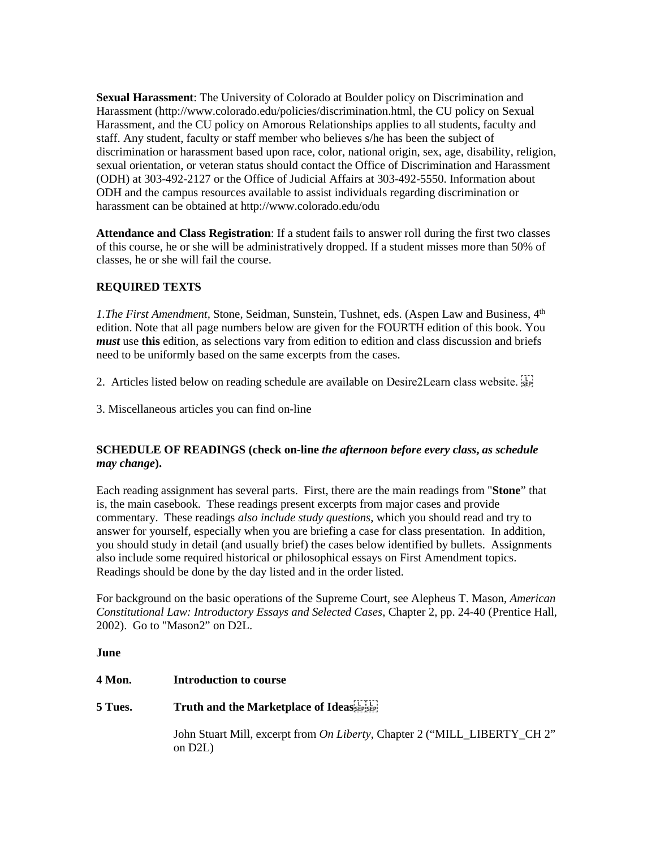**Sexual Harassment**: The University of Colorado at Boulder policy on Discrimination and Harassment [\(http://www.colorado.edu/policies/discrimination.html,](http://www.colorado.edu/policies/discrimination.html) the CU policy on Sexual Harassment, and the CU policy on Amorous Relationships applies to all students, faculty and staff. Any student, faculty or staff member who believes s/he has been the subject of discrimination or harassment based upon race, color, national origin, sex, age, disability, religion, sexual orientation, or veteran status should contact the Office of Discrimination and Harassment (ODH) at 303-492-2127 or the Office of Judicial Affairs at 303-492-5550. Information about ODH and the campus resources available to assist individuals regarding discrimination or harassment can be obtained a[t http://www.colorado.edu/odu](http://www.colorado.edu/odu)

**Attendance and Class Registration**: If a student fails to answer roll during the first two classes of this course, he or she will be administratively dropped. If a student misses more than 50% of classes, he or she will fail the course.

# **REQUIRED TEXTS**

*1.The First Amendment, Stone, Seidman, Sunstein, Tushnet, eds. (Aspen Law and Business, 4*<sup>th</sup> edition. Note that all page numbers below are given for the FOURTH edition of this book. You *must* use **this** edition, as selections vary from edition to edition and class discussion and briefs need to be uniformly based on the same excerpts from the cases.

2. Articles listed below on reading schedule are available on Desire2Learn class website.

3. Miscellaneous articles you can find on-line

# **SCHEDULE OF READINGS (check on-line** *the afternoon before every class***,** *as schedule may change***).**

Each reading assignment has several parts. First, there are the main readings from "**Stone**" that is, the main casebook. These readings present excerpts from major cases and provide commentary. These readings *also include study questions*, which you should read and try to answer for yourself, especially when you are briefing a case for class presentation. In addition, you should study in detail (and usually brief) the cases below identified by bullets. Assignments also include some required historical or philosophical essays on First Amendment topics. Readings should be done by the day listed and in the order listed.

For background on the basic operations of the Supreme Court, see Alepheus T. Mason, *American Constitutional Law: Introductory Essays and Selected Cases*, Chapter 2, pp. 24-40 (Prentice Hall, 2002). Go to "Mason2" on D2L.

**June**

**4 Mon. Introduction to course**

# **5 Tues. Truth and the Marketplace of Ideas**

John Stuart Mill, excerpt from *On Liberty*, Chapter 2 ("MILL\_LIBERTY\_CH 2" on D2L)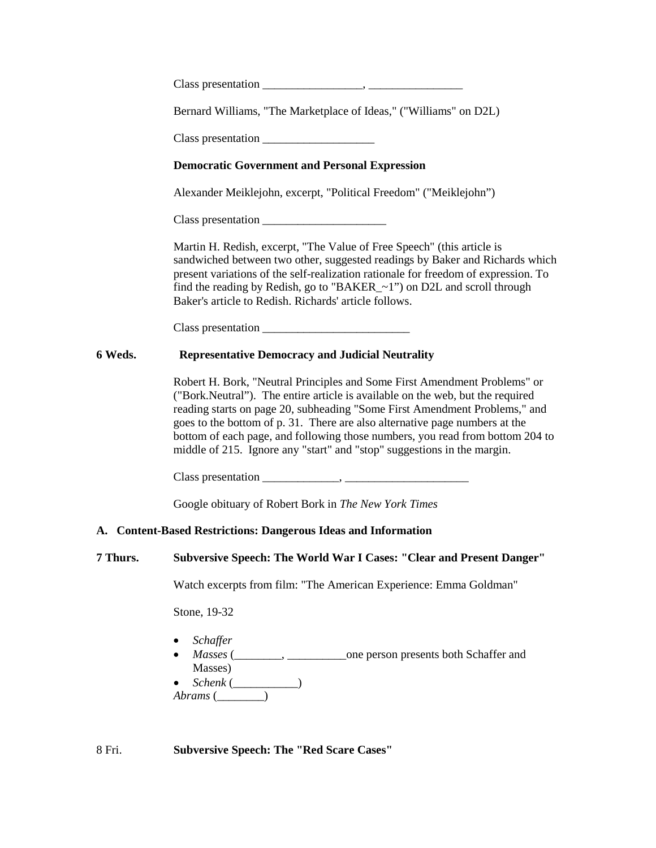| Class presentation |
|--------------------|
|--------------------|

Bernard Williams, "The Marketplace of Ideas," ("Williams" on D2L)

Class presentation

# **Democratic Government and Personal Expression**

Alexander Meiklejohn, excerpt, "Political Freedom" ("Meiklejohn")

Class presentation \_\_\_\_\_\_\_\_\_\_\_\_\_\_\_\_\_\_\_\_\_

Martin H. Redish, excerpt, "The Value of Free Speech" (this article is sandwiched between two other, suggested readings by Baker and Richards which present variations of the self-realization rationale for freedom of expression. To find the reading by Redish, go to "BAKER\_~1") on D2L and scroll through Baker's article to Redish. Richards' article follows.

Class presentation \_\_\_\_\_\_\_\_\_\_\_\_\_\_\_\_\_\_\_\_\_\_\_\_\_

# **6 Weds. Representative Democracy and Judicial Neutrality**

Robert H. Bork, "Neutral Principles and Some First Amendment Problems" or ("Bork.Neutral"). The entire article is available on the web, but the required reading starts on page 20, subheading "Some First Amendment Problems," and goes to the bottom of p. 31. There are also alternative page numbers at the bottom of each page, and following those numbers, you read from bottom 204 to middle of 215. Ignore any "start" and "stop" suggestions in the margin.

Class presentation \_\_\_\_\_\_\_\_\_\_\_\_\_, \_\_\_\_\_\_\_\_\_\_\_\_\_\_\_\_\_\_\_\_\_

Google obituary of Robert Bork in *The New York Times*

# **A. Content-Based Restrictions: Dangerous Ideas and Information**

#### **7 Thurs. Subversive Speech: The World War I Cases: "Clear and Present Danger"**

Watch excerpts from film: "The American Experience: Emma Goldman"

Stone, 19-32

- *Schaffer*
- *Masses* (\_\_\_\_\_\_\_\_, \_\_\_\_\_\_\_\_\_\_one person presents both Schaffer and Masses)
- *Schenk* (\_\_\_\_\_\_\_\_\_\_\_)

*Abrams* (\_\_\_\_\_\_\_\_)

8 Fri. **Subversive Speech: The "Red Scare Cases"**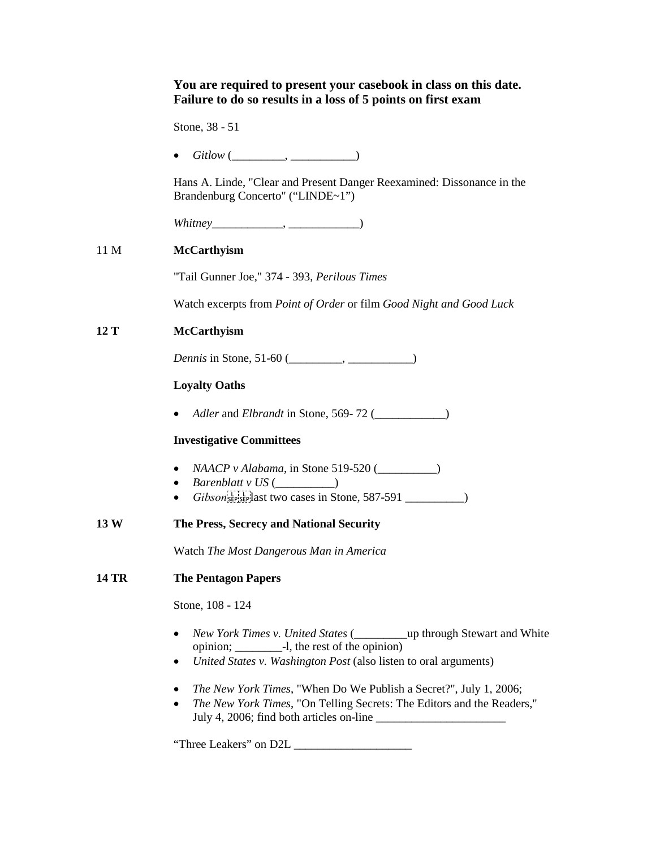# **You are required to present your casebook in class on this date. Failure to do so results in a loss of 5 points on first exam**  Stone, 38 - 51 • *Gitlow* (\_\_\_\_\_\_\_\_\_, \_\_\_\_\_\_\_\_\_\_\_) Hans A. Linde, "Clear and Present Danger Reexamined: Dissonance in the Brandenburg Concerto" ("LINDE~1") *Whitney*\_\_\_\_\_\_\_\_\_\_\_\_, \_\_\_\_\_\_\_\_\_\_\_\_) 11 M **McCarthyism** "Tail Gunner Joe," 374 - 393, *Perilous Times* Watch excerpts from *Point of Order* or film *Good Night and Good Luck* **12 T McCarthyism** *Dennis* in Stone, 51-60 (\_\_\_\_\_\_\_\_, \_\_\_\_\_\_\_\_\_) **Loyalty Oaths** • *Adler* and *Elbrandt* in Stone, 569- 72 (\_\_\_\_\_\_\_\_\_\_\_\_) **Investigative Committees** • *NAACP v Alabama*, in Stone 519-520 ( • *Barenblatt v US* (  $\qquad$  ) •  $Gibson_{\text{SEP} \text{SEP}}^{\text{IET}}$  and two cases in Stone, 587-591 **13 W The Press, Secrecy and National Security** Watch *The Most Dangerous Man in America* **14 TR The Pentagon Papers** Stone, 108 - 124 • *New York Times v. United States* (\_\_\_\_\_\_\_\_\_up through Stewart and White opinion; \_\_\_\_\_\_\_\_-l, the rest of the opinion) • *United States v. Washington Post* (also listen to oral arguments) • *The New York Times*[, "When Do We Publish a Secret?", July 1, 2006;](http://proquest.umi.com/pqdweb?index=8&did=1070108241&SrchMode=1&sid=2&Fmt=3&VInst=PROD&VType=PQD&RQT=309&VName=PQD&TS=1152393804&clientId=56281) • *The New York Times*[, "On Telling Secrets: The Editors and the Readers,"](http://proquest.umi.com/pqdweb?index=0&did=1071106201&SrchMode=1&sid=1&Fmt=3&VInst=PROD&VType=PQD&RQT=309&VName=PQD&TS=1152394129&clientId=56281)  [July 4, 2006;](http://proquest.umi.com/pqdweb?index=0&did=1071106201&SrchMode=1&sid=1&Fmt=3&VInst=PROD&VType=PQD&RQT=309&VName=PQD&TS=1152394129&clientId=56281) find both articles on-line \_\_\_\_\_\_\_\_\_\_\_\_\_\_\_\_\_\_\_\_\_\_

"Three Leakers" on D2L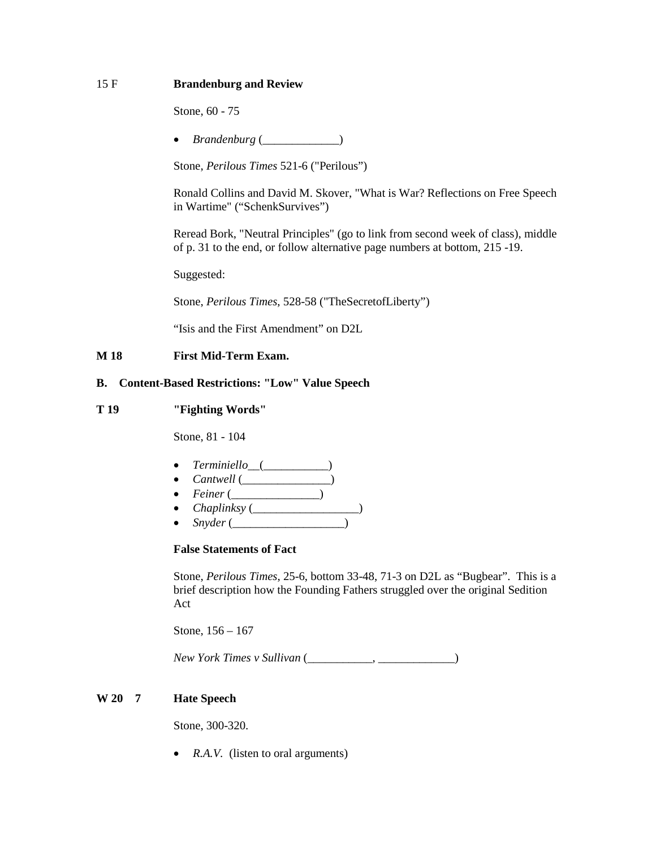# 15 F **Brandenburg and Review**

Stone, 60 - 75

• *Brandenburg* (\_\_\_\_\_\_\_\_\_\_\_\_\_)

Stone, *Perilous Times* 521-6 ("Perilous")

Ronald Collins and David M. Skover, "What is War? Reflections on Free Speech in Wartime" ("SchenkSurvives")

Reread Bork, "Neutral Principles" (go to link from second week of class), middle of p. 31 to the end, or follow alternative page numbers at bottom, 215 -19.

Suggested:

Stone, *Perilous Times*, 528-58 ("TheSecretofLiberty")

"Isis and the First Amendment" on D2L

#### **M 18 First Mid-Term Exam.**

## **B. Content-Based Restrictions: "Low" Value Speech**

#### **T 19 "Fighting Words"**

Stone, 81 - 104

- *Terminiello*\_\_(\_\_\_\_\_\_\_\_\_\_\_)
- *Cantwell* (\_\_\_\_\_\_\_\_\_\_\_\_\_\_\_)
- *Feiner* (\_\_\_\_\_\_\_\_\_\_\_\_\_\_\_)
- *Chaplinksy* (\_\_\_\_\_\_\_\_\_\_\_\_\_\_\_\_\_\_)
- *Snyder* (\_\_\_\_\_\_\_\_\_\_\_\_\_\_\_\_\_\_\_)

# **False Statements of Fact**

Stone, *Perilous Times*, 25-6, bottom 33-48, 71-3 on D2L as "Bugbear". This is a brief description how the Founding Fathers struggled over the original Sedition Act

Stone, 156 – 167

*New York Times v Sullivan* (\_\_\_\_\_\_\_\_\_\_\_, \_\_\_\_\_\_\_\_\_\_\_\_\_)

#### **W 20 7 Hate Speech**

Stone, 300-320.

• *R.A.V.* (listen to oral arguments)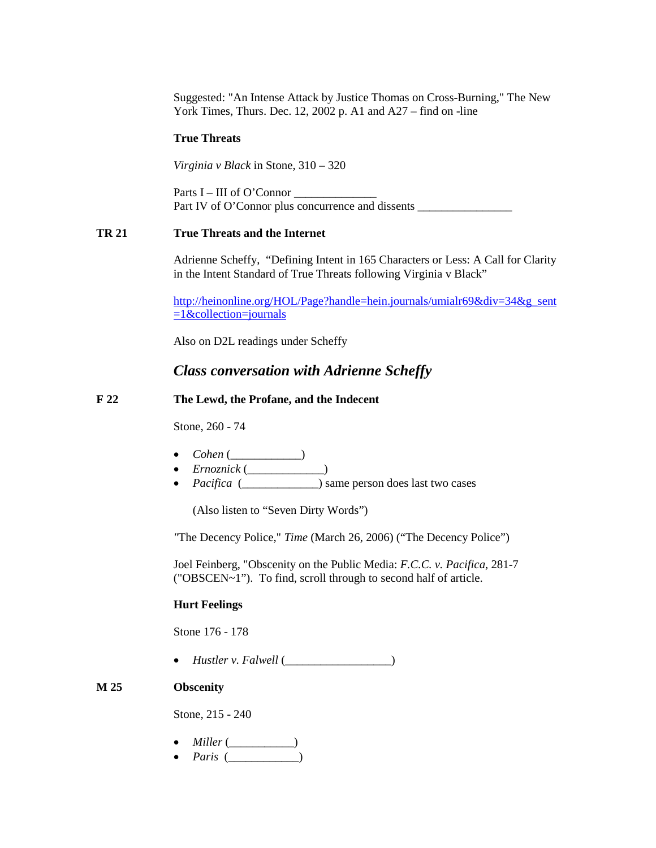Suggested: ["An Intense Attack by Justice Thomas on Cross-Burning,](http://proquest.umi.com/pqdweb?did=262825501&sid=1&Fmt=3&clientId=56281&RQT=309&VName=PQD)" The New York Times, Thurs. Dec. 12, 2002 p. A1 and A27 – find on -line

#### **True Threats**

*Virginia v Black* in Stone, 310 – 320

Parts  $I - III$  of O'Connor Part IV of O'Connor plus concurrence and dissents

## **TR 21 True Threats and the Internet**

Adrienne Scheffy, "Defining Intent in 165 Characters or Less: A Call for Clarity in the Intent Standard of True Threats following Virginia v Black"

[http://heinonline.org/HOL/Page?handle=hein.journals/umialr69&div=34&g\\_sent](http://heinonline.org/HOL/Page?handle=hein.journals/umialr69&div=34&g_sent=1&collection=journals)  $=1$ &collection=journals

Also on D2L readings under Scheffy

# *Class conversation with Adrienne Scheffy*

#### **F 22 The Lewd, the Profane, and the Indecent**

Stone, 260 - 74

- *Cohen* (\_\_\_\_\_\_\_\_\_\_\_\_)
- *Ernoznick* (\_\_\_\_\_\_\_\_\_\_\_\_\_)
- *Pacifica* ( $\qquad$ ) same person does last two cases

(Also listen to "Seven Dirty Words")

*"*The Decency Police," *Time* (March 26, 2006) ("The Decency Police")

Joel Feinberg, "Obscenity on the Public Media: *F.C.C. v. Pacifica*, 281-7 ("OBSCEN~1"). To find, scroll through to second half of article.

## **Hurt Feelings**

Stone 176 - 178

• *Hustler*  $v.$  *Falwell* ( $\qquad$ )

### **M 25 Obscenity**

Stone, 215 - 240

- *Miller* (\_\_\_\_\_\_\_\_\_\_\_)
- *Paris* (\_\_\_\_\_\_\_\_\_\_\_\_)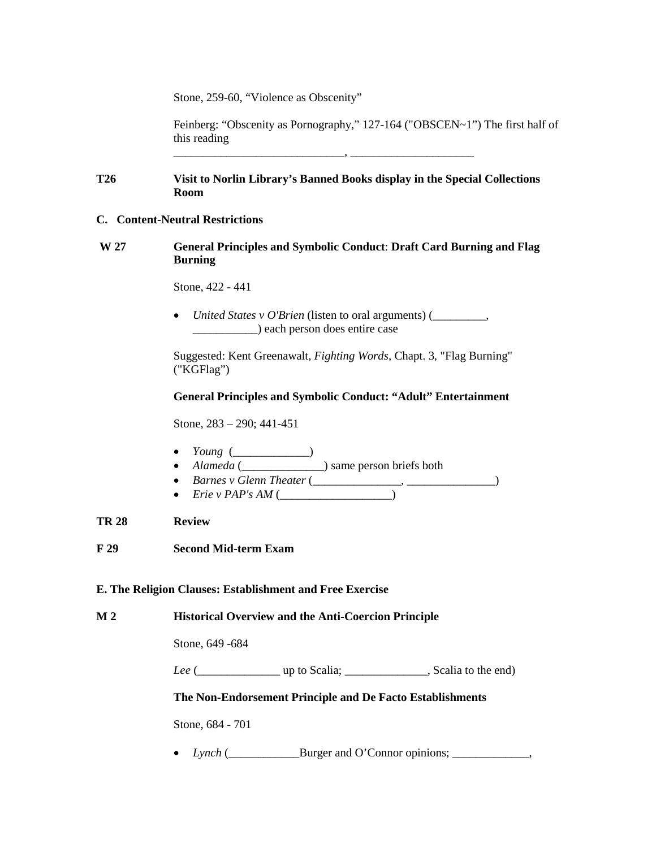Stone, 259-60, "Violence as Obscenity"

Feinberg: "Obscenity as Pornography," 127-164 ("OBSCEN~1") The first half of this reading

# **T26 Visit to Norlin Library's Banned Books display in the Special Collections Room**

\_\_\_\_\_\_\_\_\_\_\_\_\_\_\_\_\_\_\_\_\_\_\_\_\_\_\_\_\_, \_\_\_\_\_\_\_\_\_\_\_\_\_\_\_\_\_\_\_\_\_

# **C. Content-Neutral Restrictions**

**W 27 General Principles and Symbolic Conduct**: **Draft Card Burning and Flag Burning**

Stone, 422 - 441

• *United States v O'Brien* (listen to oral arguments) (\_\_\_\_\_\_\_\_\_, \_\_\_\_\_\_\_\_\_\_\_) each person does entire case

Suggested: Kent Greenawalt, *Fighting Words*, Chapt. 3, "Flag Burning" ("KGFlag")

# **General Principles and Symbolic Conduct: "Adult" Entertainment**

Stone, 283 – 290; 441-451

- *Young* (\_\_\_\_\_\_\_\_\_\_\_\_\_\_)
- *Alameda* (\_\_\_\_\_\_\_\_\_\_\_\_\_\_) same person briefs both
- *Barnes v Glenn Theater* (\_\_\_\_\_\_\_\_\_\_\_\_\_\_\_, \_\_\_\_\_\_\_\_\_\_\_\_\_\_\_)
- *Erie v PAP's AM* (\_\_\_\_\_\_\_\_\_\_\_\_\_\_\_\_\_\_\_)

# **TR 28 Review**

**F 29 Second Mid-term Exam**

# **E. The Religion Clauses: Establishment and Free Exercise**

**M 2 Historical Overview and the Anti-Coercion Principle**

Stone, 649 -684

*Lee* (\_\_\_\_\_\_\_\_\_\_\_\_\_\_ up to Scalia; \_\_\_\_\_\_\_\_\_\_\_\_\_\_, Scalia to the end)

# **The Non-Endorsement Principle and De Facto Establishments**

Stone, 684 - 701

• *Lynch* (*\_\_\_\_\_\_\_\_\_\_\_\_\_*Burger and O'Connor opinions; *\_\_\_\_\_\_\_\_\_\_\_*,